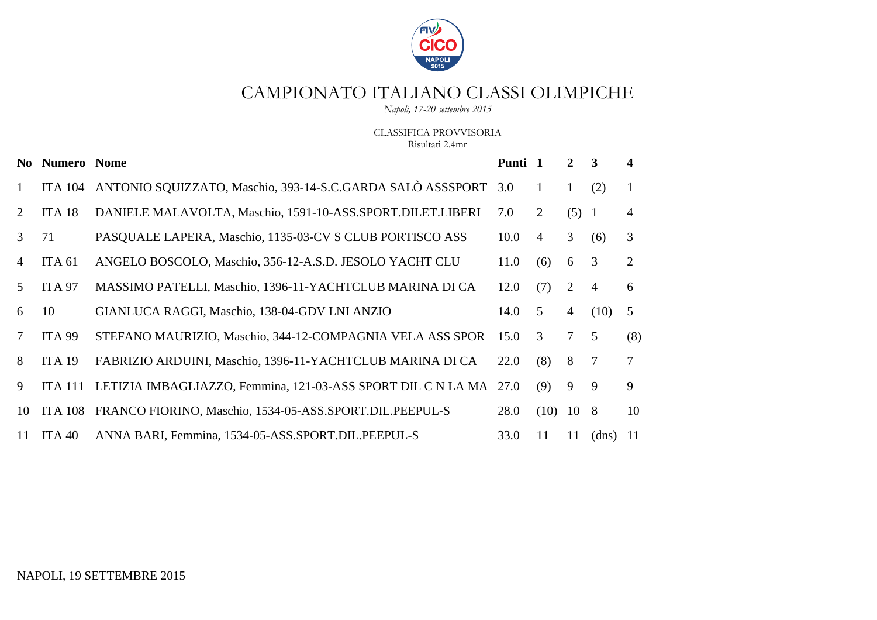

*Napoli, 17-20 settembre 2015*

CLASSIFICA PROVVISORIA Risultati 2.4mr

|                | <b>No Numero Nome</b> |                                                                | Punti 1 |                | $\mathbf{2}$   | $\overline{\mathbf{3}}$ | 4             |
|----------------|-----------------------|----------------------------------------------------------------|---------|----------------|----------------|-------------------------|---------------|
| 1              | <b>ITA 104</b>        | ANTONIO SQUIZZATO, Maschio, 393-14-S.C.GARDA SALÒ ASSSPORT 3.0 |         |                | $\mathbf{1}$   | (2)                     | 1             |
| 2              | ITA <sub>18</sub>     | DANIELE MALAVOLTA, Maschio, 1591-10-ASS.SPORT.DILET.LIBERI     | 7.0     | $\overline{2}$ | (5) 1          |                         | 4             |
| 3              | 71                    | PASQUALE LAPERA, Maschio, 1135-03-CV S CLUB PORTISCO ASS       | 10.0    | $\overline{4}$ | 3              | (6)                     | 3             |
| $\overline{4}$ | ITA <sub>61</sub>     | ANGELO BOSCOLO, Maschio, 356-12-A.S.D. JESOLO YACHT CLU        | 11.0    | (6)            | 6              | 3                       | 2             |
| 5              | <b>ITA 97</b>         | MASSIMO PATELLI, Maschio, 1396-11-YACHTCLUB MARINA DI CA       | 12.0    | (7)            | $\overline{2}$ | $\overline{4}$          | 6             |
| 6              | 10                    | GIANLUCA RAGGI, Maschio, 138-04-GDV LNI ANZIO                  | 14.0    | 5              | $\overline{4}$ | (10)                    | 5             |
| $\tau$         | <b>ITA 99</b>         | STEFANO MAURIZIO, Maschio, 344-12-COMPAGNIA VELA ASS SPOR      | 15.0    | 3              | 7 <sup>7</sup> | 5                       | (8)           |
| 8              | ITA 19                | FABRIZIO ARDUINI, Maschio, 1396-11-YACHTCLUB MARINA DI CA      | 22.0    | (8)            | 8              | 7                       | $\tau$        |
| 9              | <b>ITA 111</b>        | LETIZIA IMBAGLIAZZO, Femmina, 121-03-ASS SPORT DIL C N LA MA   | 27.0    | (9)            | 9              | 9                       | 9             |
| 10             | <b>ITA 108</b>        | FRANCO FIORINO, Maschio, 1534-05-ASS.SPORT.DIL.PEEPUL-S        | 28.0    | (10)           | 10             | 8                       | 10            |
| 11             | ITA $40$              | ANNA BARI, Femmina, 1534-05-ASS.SPORT.DIL.PEEPUL-S             | 33.0    | 11             | 11             | (dns)                   | <sup>11</sup> |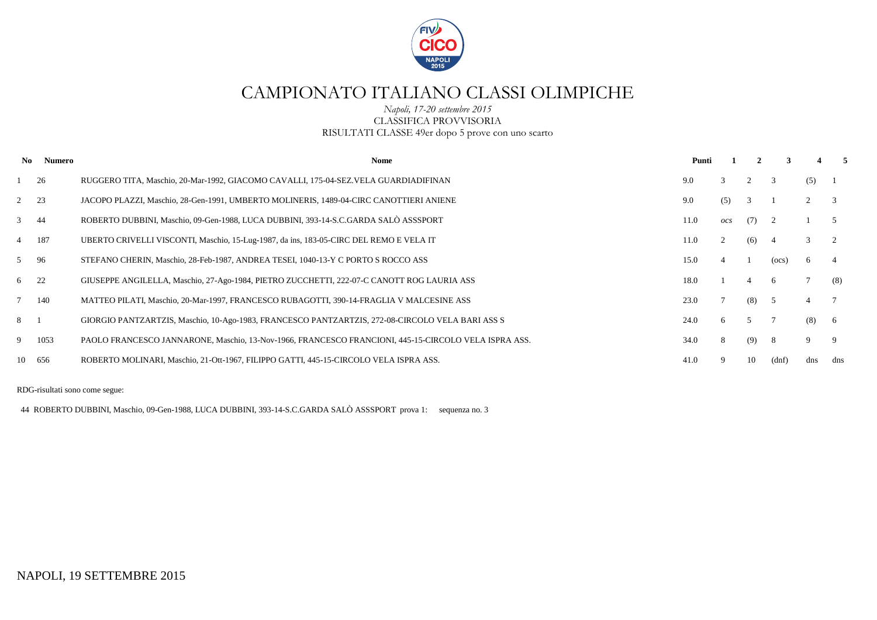

*Napoli, 17-20 settembre 2015* CLASSIFICA PROVVISORIA RISULTATI CLASSE 49er dopo 5 prove con uno scarto

| No.       | Numero | <b>Nome</b>                                                                                          | Punti |                |     |       |                | 5.  |
|-----------|--------|------------------------------------------------------------------------------------------------------|-------|----------------|-----|-------|----------------|-----|
|           | 26     | RUGGERO TITA, Maschio, 20-Mar-1992, GIACOMO CAVALLI, 175-04-SEZ. VELA GUARDIADIFINAN                 | 9.0   | $\mathcal{R}$  |     | 3     | (5)            |     |
| $2 \t 23$ |        | JACOPO PLAZZI, Maschio, 28-Gen-1991, UMBERTO MOLINERIS, 1489-04-CIRC CANOTTIERI ANIENE               | 9.0   | (5)            | 3   |       |                | 3   |
| $3 \t 44$ |        | ROBERTO DUBBINI, Maschio, 09-Gen-1988, LUCA DUBBINI, 393-14-S.C.GARDA SALÒ ASSSPORT                  | 11.0  | $_{OCS}$       | (7) |       |                |     |
| 4 187     |        | UBERTO CRIVELLI VISCONTI, Maschio, 15-Lug-1987, da ins, 183-05-CIRC DEL REMO E VELA IT               | 11.0  | 2              | (6) |       | $\mathbf{3}$   |     |
| 5 96      |        | STEFANO CHERIN, Maschio, 28-Feb-1987, ANDREA TESEI, 1040-13-Y C PORTO S ROCCO ASS                    | 15.0  | $\overline{4}$ |     | (ocs) | 6              |     |
| 6 22      |        | GIUSEPPE ANGILELLA, Maschio, 27-Ago-1984, PIETRO ZUCCHETTI, 222-07-C CANOTT ROG LAURIA ASS           | 18.0  |                | 4   | -6    |                | (8) |
| 7 140     |        | MATTEO PILATI, Maschio, 20-Mar-1997, FRANCESCO RUBAGOTTI, 390-14-FRAGLIA V MALCESINE ASS             | 23.0  |                | (8) | - 5   | $\overline{4}$ |     |
| 8 1       |        | GIORGIO PANTZARTZIS, Maschio, 10-Ago-1983, FRANCESCO PANTZARTZIS, 272-08-CIRCOLO VELA BARI ASS S     | 24.0  | 6              | 5   |       | (8)            | - 6 |
| 9         | 1053   | PAOLO FRANCESCO JANNARONE, Maschio, 13-Nov-1966, FRANCESCO FRANCIONI, 445-15-CIRCOLO VELA ISPRA ASS. | 34.0  | 8              | (9) | -8    | 9              | -9  |
|           | 10 656 | ROBERTO MOLINARI, Maschio, 21-Ott-1967, FILIPPO GATTI, 445-15-CIRCOLO VELA ISPRA ASS.                | 41.0  |                | 10  | (dnf) | dns            | dns |

RDG-risultati sono come segue:

44 ROBERTO DUBBINI, Maschio, 09-Gen-1988, LUCA DUBBINI, 393-14-S.C.GARDA SALÒ ASSSPORT prova 1: sequenza no. 3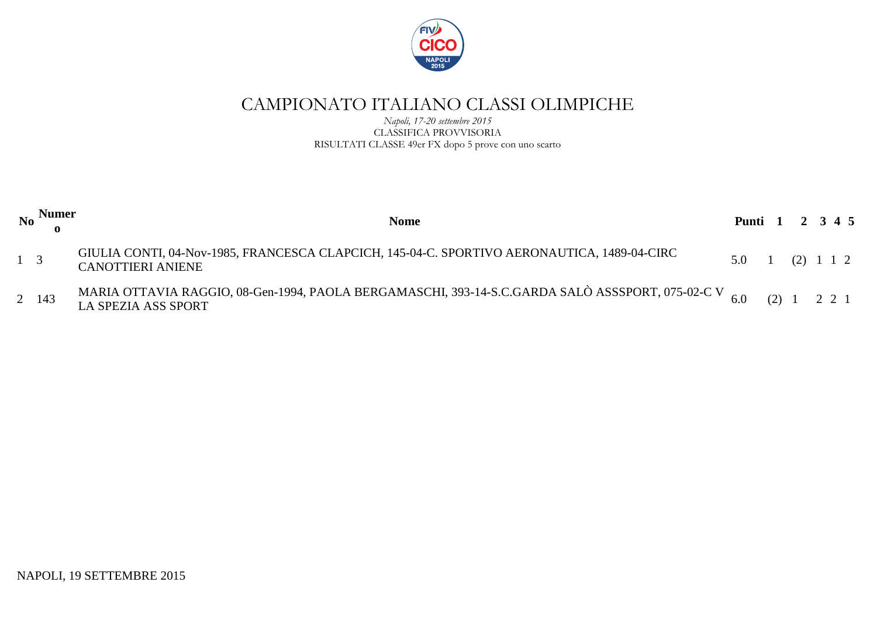

*Napoli, 17-20 settembre 2015* CLASSIFICA PROVVISORIA RISULTATI CLASSE 49er FX dopo 5 prove con uno scarto

|             | No Numer $\frac{N}{2}$ | <b>Nome</b>                                                                                                                             | Punti 1 2 3 4 5                                 |  |  |  |
|-------------|------------------------|-----------------------------------------------------------------------------------------------------------------------------------------|-------------------------------------------------|--|--|--|
| $1 \quad 3$ |                        | GIULIA CONTI, 04-Nov-1985, FRANCESCA CLAPCICH, 145-04-C. SPORTIVO AERONAUTICA, 1489-04-CIRC<br><b>CANOTTIERI ANIENE</b>                 | $5.0 \quad 1 \quad (2) \quad 1 \quad 1 \quad 2$ |  |  |  |
|             | 2 143                  | MARIA OTTAVIA RAGGIO, 08-Gen-1994, PAOLA BERGAMASCHI, 393-14-S.C.GARDA SALÒ ASSSPORT, 075-02-C V 6.0 (2) 1 2 2 1<br>LA SPEZIA ASS SPORT |                                                 |  |  |  |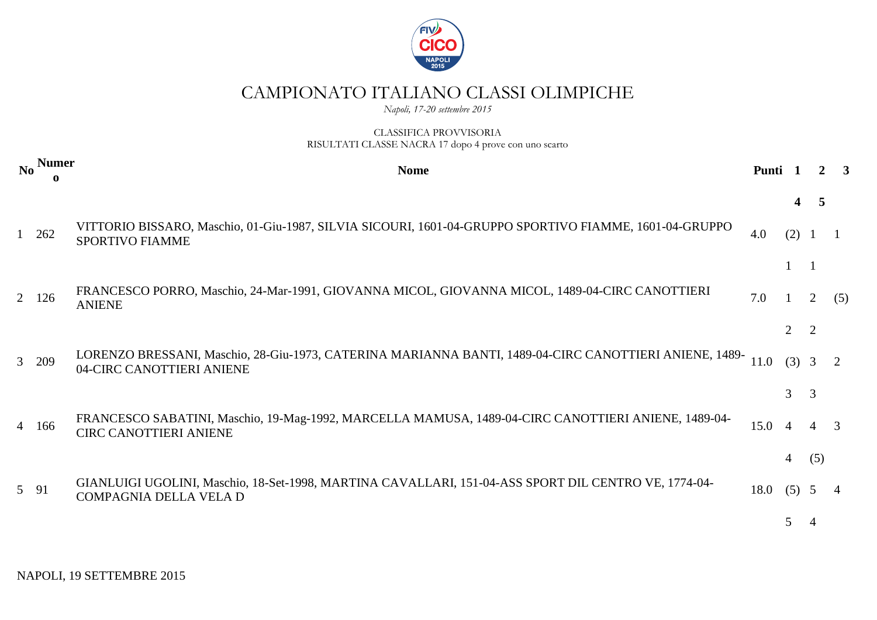

*Napoli, 17-20 settembre 2015*

### CLASSIFICA PROVVISORIA RISULTATI CLASSE NACRA 17 dopo 4 prove con uno scarto

|      | No Numer | <b>Nome</b>                                                                                                                          | Punti |                       |     |     |
|------|----------|--------------------------------------------------------------------------------------------------------------------------------------|-------|-----------------------|-----|-----|
|      |          |                                                                                                                                      |       |                       |     |     |
|      | 1 262    | VITTORIO BISSARO, Maschio, 01-Giu-1987, SILVIA SICOURI, 1601-04-GRUPPO SPORTIVO FIAMME, 1601-04-GRUPPO<br>SPORTIVO FIAMME            | 4.0   | (2)                   |     |     |
|      |          |                                                                                                                                      |       |                       |     |     |
|      | 2 126    | FRANCESCO PORRO, Maschio, 24-Mar-1991, GIOVANNA MICOL, GIOVANNA MICOL, 1489-04-CIRC CANOTTIERI<br><b>ANIENE</b>                      | 7.0   |                       |     | (5) |
|      |          |                                                                                                                                      |       | $\mathcal{D}_{\cdot}$ |     |     |
|      | 3 209    | LORENZO BRESSANI, Maschio, 28-Giu-1973, CATERINA MARIANNA BANTI, 1489-04-CIRC CANOTTIERI ANIENE, 1489-<br>04-CIRC CANOTTIERI ANIENE  | 11.0  | $(3)$ 3               |     | 2   |
|      |          |                                                                                                                                      |       | $\mathfrak{Z}$        | -3  |     |
|      | 4 166    | FRANCESCO SABATINI, Maschio, 19-Mag-1992, MARCELLA MAMUSA, 1489-04-CIRC CANOTTIERI ANIENE, 1489-04-<br><b>CIRC CANOTTIERI ANIENE</b> | 15.0  | $\overline{A}$        |     | 3   |
|      |          |                                                                                                                                      |       | 4                     | (5) |     |
| 5 91 |          | GIANLUIGI UGOLINI, Maschio, 18-Set-1998, MARTINA CAVALLARI, 151-04-ASS SPORT DIL CENTRO VE, 1774-04-<br>COMPAGNIA DELLA VELA D       | 18.0  | (5)                   |     |     |
|      |          |                                                                                                                                      |       | 5                     |     |     |

NAPOLI, 19 SETTEMBRE 2015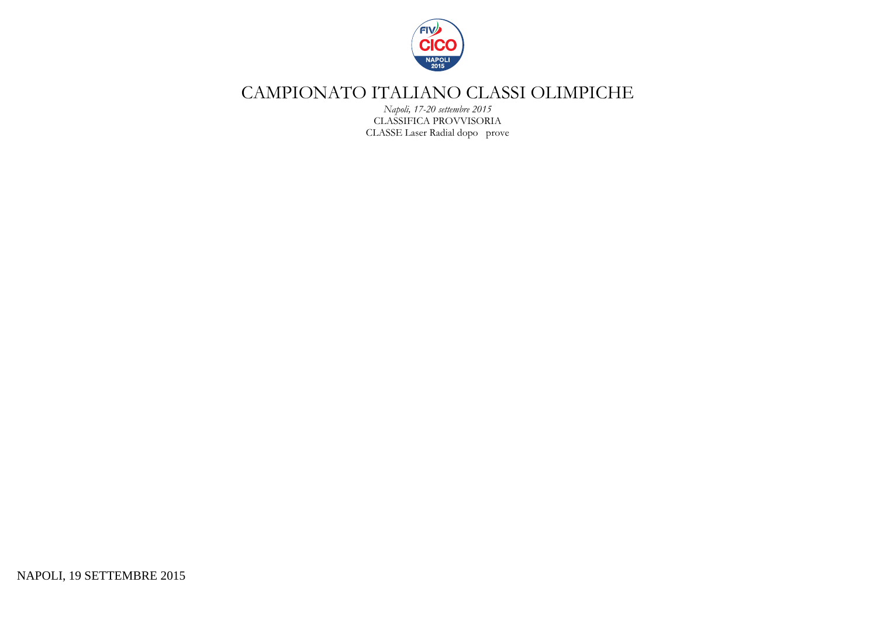

*Napoli, 17-20 settembre 2015* CLASSIFICA PROVVISORIA CLASSE Laser Radial dopo prove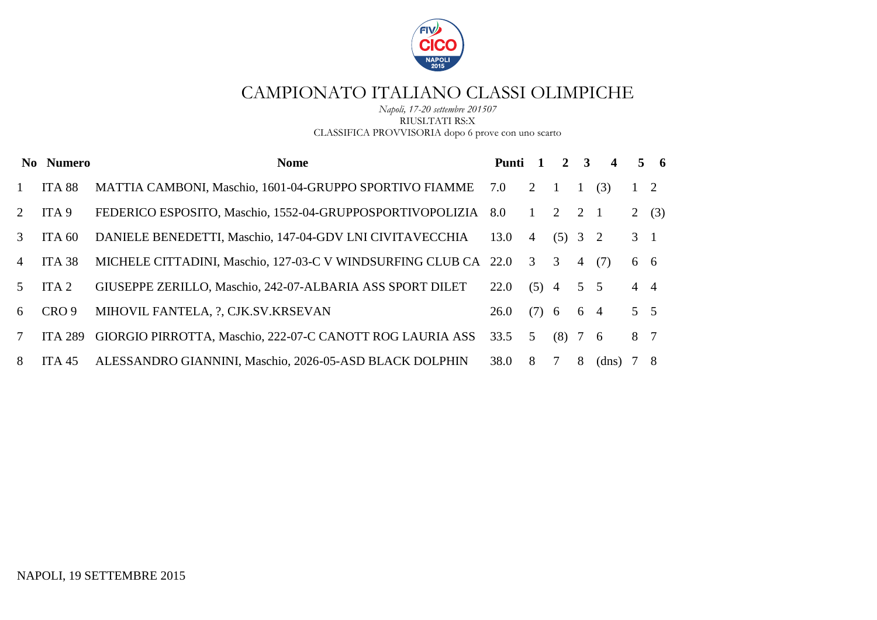

#### *Napoli, 17-20 settembre 201507* RIUSLTATI RS:X CLASSIFICA PROVVISORIA dopo 6 prove con uno scarto

|                 | No Numero        | <b>Nome</b>                                                       | Punti 1 |                | $\overline{2}$ | $\mathbf{3}$   | $\overline{\mathbf{4}}$ |             | $5\quad 6$ |
|-----------------|------------------|-------------------------------------------------------------------|---------|----------------|----------------|----------------|-------------------------|-------------|------------|
|                 | ITA 88           | MATTIA CAMBONI, Maschio, 1601-04-GRUPPO SPORTIVO FIAMME           | 7.0     | 2              |                | $\overline{1}$ | (3)                     | $1\quad 2$  |            |
| 2               | ITA <sub>9</sub> | FEDERICO ESPOSITO, Maschio, 1552-04-GRUPPOSPORTIVOPOLIZIA         | 8.0     | 1              | 2              | 2 1            |                         | 2(3)        |            |
| 3               | ITA 60           | DANIELE BENEDETTI, Maschio, 147-04-GDV LNI CIVITAVECCHIA          | 13.0    | $\overline{4}$ | $(5)$ 3 2      |                |                         | $3 \quad 1$ |            |
| $\overline{4}$  | ITA 38           | MICHELE CITTADINI, Maschio, 127-03-C V WINDSURFING CLUB CA 22.0 3 |         |                | $\overline{3}$ |                | 4(7)                    | 6 6         |            |
| $\sqrt{5}$      | ITA <sub>2</sub> | GIUSEPPE ZERILLO, Maschio, 242-07-ALBARIA ASS SPORT DILET         | 22.0    | $(5)$ 4        |                | $5\quad 5$     |                         | $4\quad 4$  |            |
| 6               | CRO <sub>9</sub> | MIHOVIL FANTELA, ?, CJK.SV.KRSEVAN                                | 26.0    | $(7)$ 6        |                | 6 4            |                         | $5 \quad 5$ |            |
| $7\phantom{.0}$ | <b>ITA 289</b>   | GIORGIO PIRROTTA, Maschio, 222-07-C CANOTT ROG LAURIA ASS         | 33.5    | 5              | $(8)$ 7 6      |                |                         | 8 7         |            |
| 8               | ITA 45           | ALESSANDRO GIANNINI, Maschio, 2026-05-ASD BLACK DOLPHIN           | 38.0    | 8              | 7              | 8              | (dns)                   | 7 8         |            |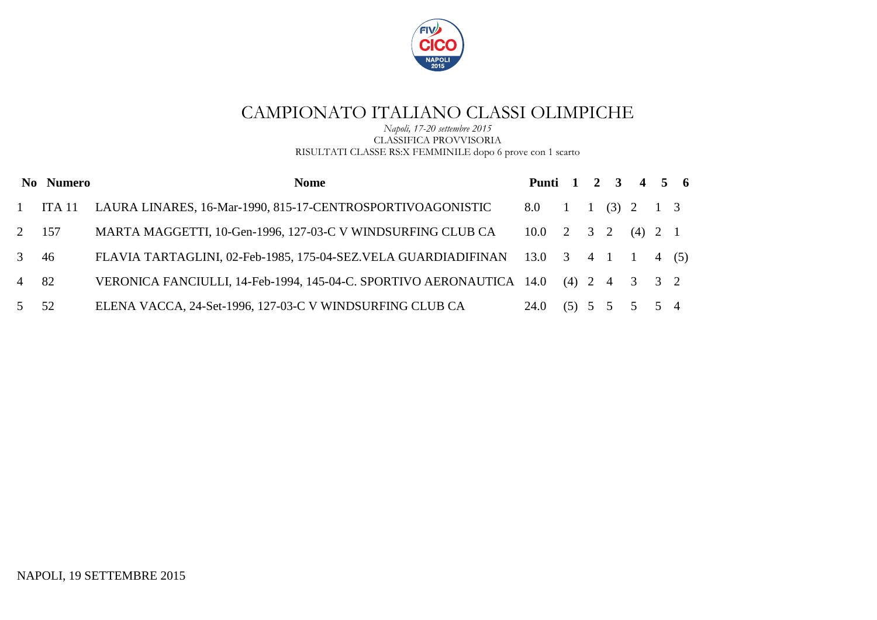

*Napoli, 17-20 settembre 2015* CLASSIFICA PROVVISORIA RISULTATI CLASSE RS:X FEMMINILE dopo 6 prove con 1 scarto

|              | No Numero | <b>Nome</b>                                                                              | Punti 1 2 3 4 5 6                                        |  |               |      |  |
|--------------|-----------|------------------------------------------------------------------------------------------|----------------------------------------------------------|--|---------------|------|--|
| $\mathbf{1}$ | ITA 11    | LAURA LINARES, 16-Mar-1990, 815-17-CENTROSPORTIVOAGONISTIC                               | 8.0 1 1 (3) 2 1 3                                        |  |               |      |  |
|              | 2 157     | MARTA MAGGETTI, 10-Gen-1996, 127-03-C V WINDSURFING CLUB CA                              | $10.0 \quad 2 \quad 3 \quad 2 \quad (4) \quad 2 \quad 1$ |  |               |      |  |
| $3 \quad 46$ |           | FLAVIA TARTAGLINI, 02-Feb-1985, 175-04-SEZ.VELA GUARDIADIFINAN 13.0 3 4 1 1              |                                                          |  |               | 4(5) |  |
| 4 82         |           | VERONICA FANCIULLI, 14-Feb-1994, 145-04-C. SPORTIVO AERONAUTICA $14.0$ (4) $2$ 4 $3$ 3 2 |                                                          |  |               |      |  |
| 5 52         |           | ELENA VACCA, 24-Set-1996, 127-03-C V WINDSURFING CLUB CA                                 | 24.0                                                     |  | (5) 5 5 5 5 4 |      |  |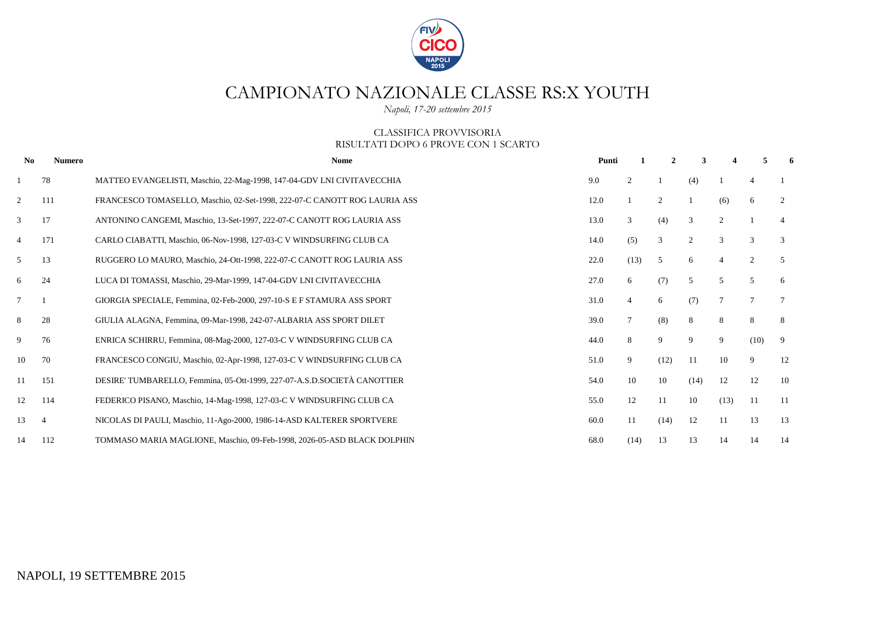

# CAMPIONATO NAZIONALE CLASSE RS:X YOUTH

*Napoli, 17-20 settembre 2015*

#### CLASSIFICA PROVVISORIA RISULTATI DOPO 6 PROVE CON 1 SCARTO

| No             | <b>Numero</b>  | <b>Nome</b>                                                               | Punti |                | $\mathbf{2}$   | 3    |                 | 5               | 6               |
|----------------|----------------|---------------------------------------------------------------------------|-------|----------------|----------------|------|-----------------|-----------------|-----------------|
|                | 78             | MATTEO EVANGELISTI, Maschio, 22-Mag-1998, 147-04-GDV LNI CIVITAVECCHIA    | 9.0   | 2              |                | (4)  |                 | $\overline{4}$  |                 |
| $\overline{2}$ | 111            | FRANCESCO TOMASELLO, Maschio, 02-Set-1998, 222-07-C CANOTT ROG LAURIA ASS | 12.0  |                | $\overline{2}$ |      | (6)             | 6               | 2               |
| 3              | 17             | ANTONINO CANGEMI, Maschio, 13-Set-1997, 222-07-C CANOTT ROG LAURIA ASS    | 13.0  | 3              | (4)            | 3    | 2               |                 | $\overline{4}$  |
| 4              | 171            | CARLO CIABATTI, Maschio, 06-Nov-1998, 127-03-C V WINDSURFING CLUB CA      | 14.0  | (5)            | 3              | 2    | 3               | 3               | 3               |
| 5              | 13             | RUGGERO LO MAURO, Maschio, 24-Ott-1998, 222-07-C CANOTT ROG LAURIA ASS    | 22.0  | (13)           | 5              | 6    | $\overline{4}$  | 2               | 5               |
| 6              | 24             | LUCA DI TOMASSI, Maschio, 29-Mar-1999, 147-04-GDV LNI CIVITAVECCHIA       | 27.0  | 6              | (7)            | 5    | 5               | 5               | 6               |
| $\tau$         |                | GIORGIA SPECIALE, Femmina, 02-Feb-2000, 297-10-S E F STAMURA ASS SPORT    | 31.0  | $\overline{4}$ | 6              | (7)  | $7\phantom{.0}$ | $7\phantom{.0}$ | $7\phantom{.0}$ |
| 8              | 28             | GIULIA ALAGNA, Femmina, 09-Mar-1998, 242-07-ALBARIA ASS SPORT DILET       | 39.0  |                | (8)            | 8    | 8               | 8               | 8               |
| 9              | 76             | ENRICA SCHIRRU, Femmina, 08-Mag-2000, 127-03-C V WINDSURFING CLUB CA      | 44.0  | 8              | 9              | 9    | 9               | (10)            | 9               |
| 10             | 70             | FRANCESCO CONGIU, Maschio, 02-Apr-1998, 127-03-C V WINDSURFING CLUB CA    | 51.0  | 9              | (12)           | -11  | 10              | 9               | 12              |
| 11             | 151            | DESIRE' TUMBARELLO, Femmina, 05-Ott-1999, 227-07-A.S.D.SOCIETÀ CANOTTIER  | 54.0  | 10             | 10             | (14) | 12              | 12              | 10              |
| 12             | 114            | FEDERICO PISANO, Maschio, 14-Mag-1998, 127-03-C V WINDSURFING CLUB CA     | 55.0  | 12             | 11             | 10   | (13)            | -11             | -11             |
| 13             | $\overline{4}$ | NICOLAS DI PAULI, Maschio, 11-Ago-2000, 1986-14-ASD KALTERER SPORTVERE    | 60.0  | 11             | (14)           | 12   | 11              | 13              | 13              |
| 14             | 112            | TOMMASO MARIA MAGLIONE, Maschio, 09-Feb-1998, 2026-05-ASD BLACK DOLPHIN   | 68.0  | (14)           | 13             | 13   | 14              | 14              | 14              |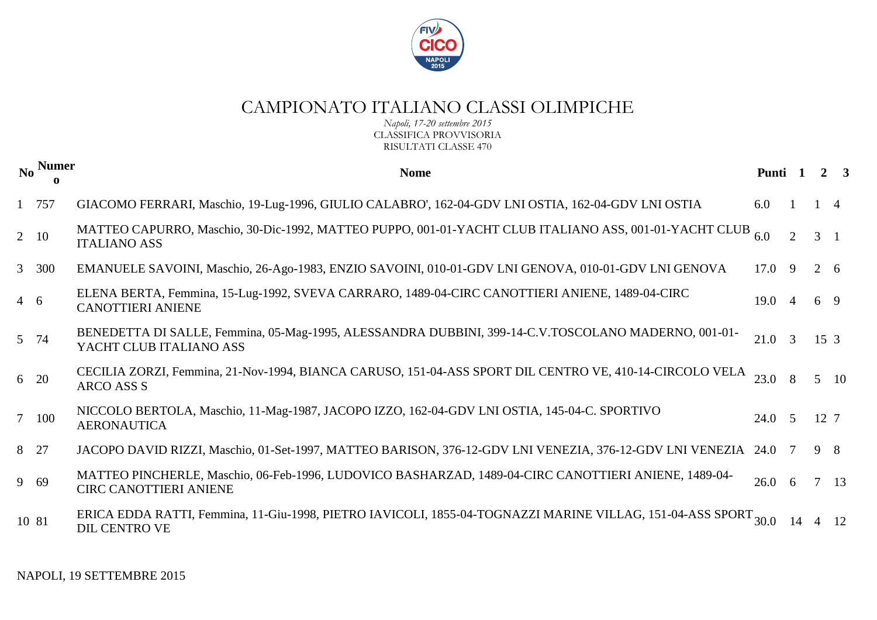

*Napoli, 17-20 settembre 2015* CLASSIFICA PROVVISORIA RISULTATI CLASSE 470

|            | No Numer    | <b>Nome</b>                                                                                                                                | Punti 1        |                |                 | 2 <sup>1</sup> |
|------------|-------------|--------------------------------------------------------------------------------------------------------------------------------------------|----------------|----------------|-----------------|----------------|
|            | 1 757       | GIACOMO FERRARI, Maschio, 19-Lug-1996, GIULIO CALABRO', 162-04-GDV LNI OSTIA, 162-04-GDV LNI OSTIA                                         | 6.0            |                |                 | $\overline{4}$ |
|            | $2\quad 10$ | MATTEO CAPURRO, Maschio, 30-Dic-1992, MATTEO PUPPO, 001-01-YACHT CLUB ITALIANO ASS, 001-01-YACHT CLUB<br><b>ITALIANO ASS</b>               | 6.0            |                | $3 \quad 1$     |                |
|            | 3 300       | EMANUELE SAVOINI, Maschio, 26-Ago-1983, ENZIO SAVOINI, 010-01-GDV LNI GENOVA, 010-01-GDV LNI GENOVA                                        | $17.0$ 9       |                | 2 6             |                |
| $4\quad 6$ |             | ELENA BERTA, Femmina, 15-Lug-1992, SVEVA CARRARO, 1489-04-CIRC CANOTTIERI ANIENE, 1489-04-CIRC<br><b>CANOTTIERI ANIENE</b>                 | $19.0 \quad 4$ |                | 6 9             |                |
|            | 5 74        | BENEDETTA DI SALLE, Femmina, 05-Mag-1995, ALESSANDRA DUBBINI, 399-14-C.V.TOSCOLANO MADERNO, 001-01-<br>YACHT CLUB ITALIANO ASS             | 21.0           | $\overline{3}$ | 15 <sub>3</sub> |                |
|            | 6 20        | CECILIA ZORZI, Femmina, 21-Nov-1994, BIANCA CARUSO, 151-04-ASS SPORT DIL CENTRO VE, 410-14-CIRCOLO VELA<br>ARCO ASS S                      | 23.0           |                |                 | $5\quad 10$    |
|            | 7 100       | NICCOLO BERTOLA, Maschio, 11-Mag-1987, JACOPO IZZO, 162-04-GDV LNI OSTIA, 145-04-C. SPORTIVO<br><b>AERONAUTICA</b>                         | $24.0\quad 5$  |                | 12 7            |                |
|            | 8 27        | JACOPO DAVID RIZZI, Maschio, 01-Set-1997, MATTEO BARISON, 376-12-GDV LNI VENEZIA, 376-12-GDV LNI VENEZIA                                   | 24.0 7         |                | $9 \quad 8$     |                |
|            | 9 69        | MATTEO PINCHERLE, Maschio, 06-Feb-1996, LUDOVICO BASHARZAD, 1489-04-CIRC CANOTTIERI ANIENE, 1489-04-<br><b>CIRC CANOTTIERI ANIENE</b>      | $26.0\t6$      |                |                 | $7 \quad 13$   |
|            | 10 81       | ERICA EDDA RATTI, Femmina, 11-Giu-1998, PIETRO IAVICOLI, 1855-04-TOGNAZZI MARINE VILLAG, 151-04-ASS SPORT <sub>30.0</sub><br>DIL CENTRO VE |                |                |                 | 12             |

NAPOLI, 19 SETTEMBRE 2015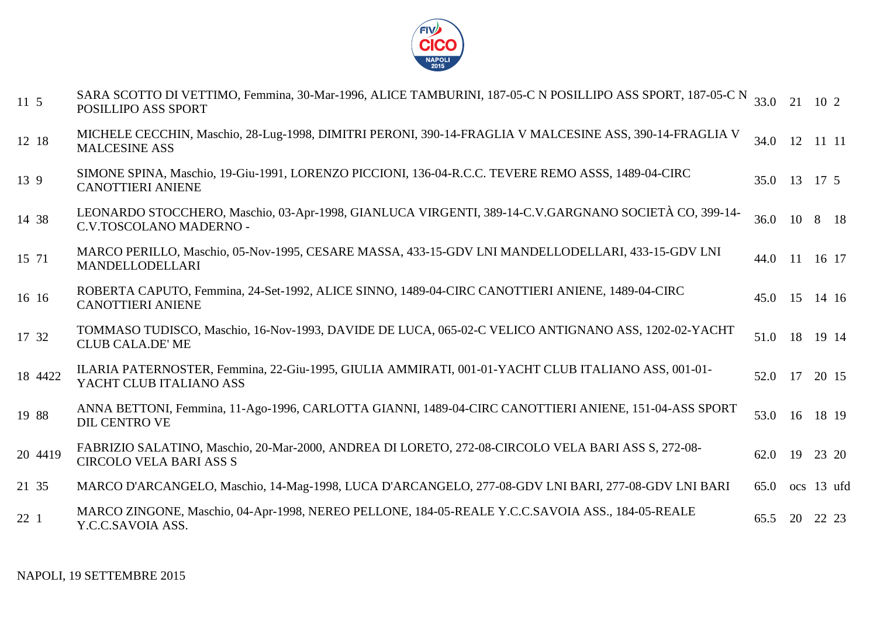

| 11 5    | SARA SCOTTO DI VETTIMO, Femmina, 30-Mar-1996, ALICE TAMBURINI, 187-05-C N POSILLIPO ASS SPORT, 187-05-C N 33.0 21 10 2<br>POSILLIPO ASS SPORT |         |    |               |
|---------|-----------------------------------------------------------------------------------------------------------------------------------------------|---------|----|---------------|
| 12 18   | MICHELE CECCHIN, Maschio, 28-Lug-1998, DIMITRI PERONI, 390-14-FRAGLIA V MALCESINE ASS, 390-14-FRAGLIA V<br><b>MALCESINE ASS</b>               |         |    | 34.0 12 11 11 |
| 13 9    | SIMONE SPINA, Maschio, 19-Giu-1991, LORENZO PICCIONI, 136-04-R.C.C. TEVERE REMO ASSS, 1489-04-CIRC<br><b>CANOTTIERI ANIENE</b>                |         |    | 35.0 13 17 5  |
| 14 38   | LEONARDO STOCCHERO, Maschio, 03-Apr-1998, GIANLUCA VIRGENTI, 389-14-C.V.GARGNANO SOCIETÀ CO, 399-14-<br>C.V.TOSCOLANO MADERNO -               |         |    | 36.0 10 8 18  |
| 15 71   | MARCO PERILLO, Maschio, 05-Nov-1995, CESARE MASSA, 433-15-GDV LNI MANDELLODELLARI, 433-15-GDV LNI<br><b>MANDELLODELLARI</b>                   |         |    | 44.0 11 16 17 |
| 16 16   | ROBERTA CAPUTO, Femmina, 24-Set-1992, ALICE SINNO, 1489-04-CIRC CANOTTIERI ANIENE, 1489-04-CIRC<br><b>CANOTTIERI ANIENE</b>                   | 45.0 15 |    | 14 16         |
| 17 32   | TOMMASO TUDISCO, Maschio, 16-Nov-1993, DAVIDE DE LUCA, 065-02-C VELICO ANTIGNANO ASS, 1202-02-YACHT<br><b>CLUB CALA.DE' ME</b>                |         |    | 51.0 18 19 14 |
| 18 4422 | ILARIA PATERNOSTER, Femmina, 22-Giu-1995, GIULIA AMMIRATI, 001-01-YACHT CLUB ITALIANO ASS, 001-01-<br>YACHT CLUB ITALIANO ASS                 | 52.0 17 |    | 20 15         |
| 19 88   | ANNA BETTONI, Femmina, 11-Ago-1996, CARLOTTA GIANNI, 1489-04-CIRC CANOTTIERI ANIENE, 151-04-ASS SPORT<br><b>DIL CENTRO VE</b>                 |         |    | 53.0 16 18 19 |
| 20 4419 | FABRIZIO SALATINO, Maschio, 20-Mar-2000, ANDREA DI LORETO, 272-08-CIRCOLO VELA BARI ASS S, 272-08-<br><b>CIRCOLO VELA BARI ASS S</b>          | 62.0    | 19 | 23 20         |
| 21 35   | MARCO D'ARCANGELO, Maschio, 14-Mag-1998, LUCA D'ARCANGELO, 277-08-GDV LNI BARI, 277-08-GDV LNI BARI                                           | 65.0    |    | ocs 13 ufd    |
| 221     | MARCO ZINGONE, Maschio, 04-Apr-1998, NEREO PELLONE, 184-05-REALE Y.C.C.SAVOIA ASS., 184-05-REALE<br>Y.C.C.SAVOIA ASS.                         | 65.5    | 20 | 22 23         |
|         |                                                                                                                                               |         |    |               |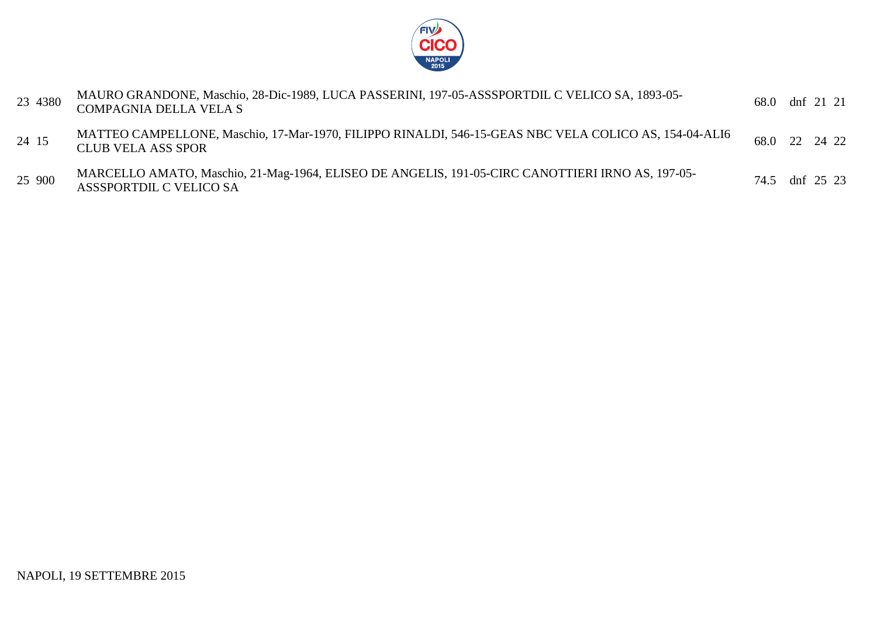

| 23 4380 | MAURO GRANDONE, Maschio, 28-Dic-1989, LUCA PASSERINI, 197-05-ASSSPORTDIL C VELICO SA, 1893-05-<br><b>COMPAGNIA DELLA VELA S</b>    | 68.0 dnf 21 21 |
|---------|------------------------------------------------------------------------------------------------------------------------------------|----------------|
| 24 15   | MATTEO CAMPELLONE, Maschio, 17-Mar-1970, FILIPPO RINALDI, 546-15-GEAS NBC VELA COLICO AS, 154-04-ALI6<br><b>CLUB VELA ASS SPOR</b> | 68.0 22 24 22  |
| 25 900  | MARCELLO AMATO, Maschio, 21-Mag-1964, ELISEO DE ANGELIS, 191-05-CIRC CANOTTIERI IRNO AS, 197-05-<br><b>ASSSPORTDIL C VELICO SA</b> | 74.5 dnf 25 23 |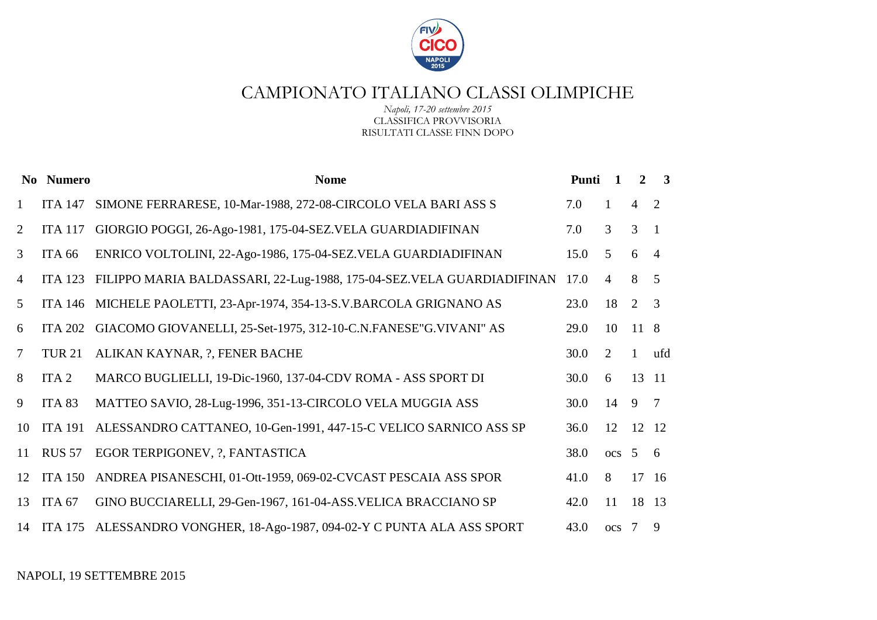

*Napoli, 17-20 settembre 2015* CLASSIFICA PROVVISORIA RISULTATI CLASSE FINN DOPO

|              | No Numero         | <b>Nome</b>                                                                | Punti | $\mathbf{1}$   | $2^{\circ}$    | $\overline{\mathbf{3}}$ |
|--------------|-------------------|----------------------------------------------------------------------------|-------|----------------|----------------|-------------------------|
| $\mathbf{1}$ | <b>ITA 147</b>    | SIMONE FERRARESE, 10-Mar-1988, 272-08-CIRCOLO VELA BARI ASS S              | 7.0   | $\mathbf{1}$   | $\overline{4}$ | 2                       |
| 2            | <b>ITA 117</b>    | GIORGIO POGGI, 26-Ago-1981, 175-04-SEZ.VELA GUARDIADIFINAN                 | 7.0   | $\mathfrak{Z}$ | $\overline{3}$ | $\overline{1}$          |
| 3            | <b>ITA 66</b>     | ENRICO VOLTOLINI, 22-Ago-1986, 175-04-SEZ.VELA GUARDIADIFINAN              | 15.0  | 5              | 6              | $\overline{4}$          |
| 4            | <b>ITA 123</b>    | FILIPPO MARIA BALDASSARI, 22-Lug-1988, 175-04-SEZ. VELA GUARDIADIFINAN     | 17.0  | $\overline{4}$ | 8              | $\overline{5}$          |
| 5            | <b>ITA 146</b>    | MICHELE PAOLETTI, 23-Apr-1974, 354-13-S.V.BARCOLA GRIGNANO AS              | 23.0  | 18             | 2              | 3                       |
| 6            | <b>ITA 202</b>    | GIACOMO GIOVANELLI, 25-Set-1975, 312-10-C.N.FANESE"G.VIVANI" AS            | 29.0  | 10             | 11 8           |                         |
| $\tau$       | <b>TUR 21</b>     | ALIKAN KAYNAR, ?, FENER BACHE                                              | 30.0  | 2              | $\mathbf{1}$   | ufd                     |
| 8            | ITA <sub>2</sub>  | MARCO BUGLIELLI, 19-Dic-1960, 137-04-CDV ROMA - ASS SPORT DI               | 30.0  | 6              | 13 11          |                         |
| 9            | ITA <sub>83</sub> | MATTEO SAVIO, 28-Lug-1996, 351-13-CIRCOLO VELA MUGGIA ASS                  | 30.0  | 14             | 9 7            |                         |
| 10           | <b>ITA 191</b>    | ALESSANDRO CATTANEO, 10-Gen-1991, 447-15-C VELICO SARNICO ASS SP           | 36.0  | 12             | 12 12          |                         |
| 11           | <b>RUS 57</b>     | EGOR TERPIGONEV, ?, FANTASTICA                                             | 38.0  | $ocs$ 5 6      |                |                         |
| 12           | <b>ITA 150</b>    | ANDREA PISANESCHI, 01-Ott-1959, 069-02-CVCAST PESCAIA ASS SPOR             | 41.0  | 8              | 17 16          |                         |
| 13           | ITA <sub>67</sub> | GINO BUCCIARELLI, 29-Gen-1967, 161-04-ASS. VELICA BRACCIANO SP             | 42.0  | 11             | 18 13          |                         |
|              |                   | 14 ITA 175 ALESSANDRO VONGHER, 18-Ago-1987, 094-02-Y C PUNTA ALA ASS SPORT | 43.0  | $ocs$ 7 9      |                |                         |

NAPOLI, 19 SETTEMBRE 2015